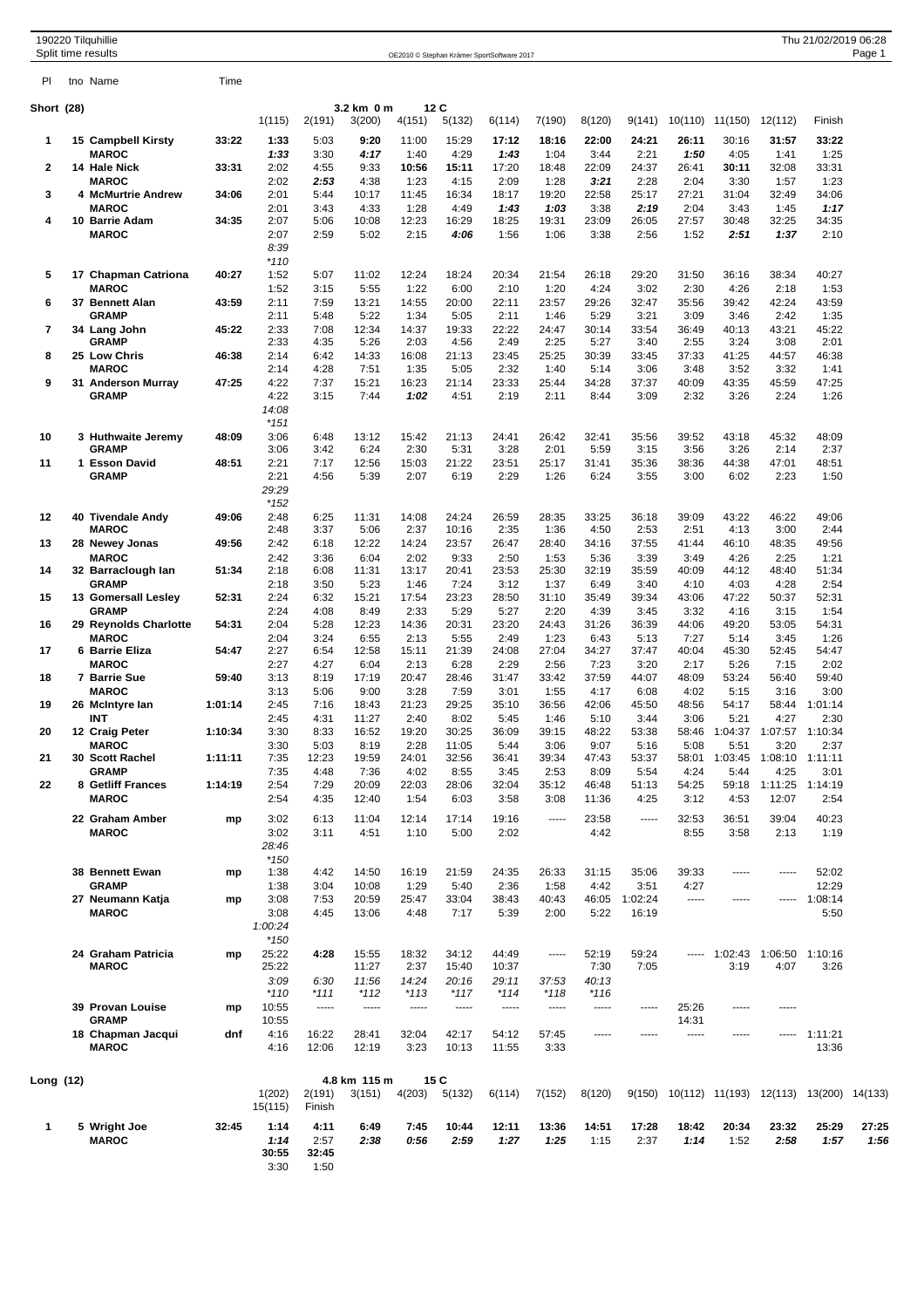|              | 190220 Tilquhillie<br>Split time results          |         |                                          |                                         |                         |                        |                         | OE2010 © Stephan Krämer SportSoftware 2017 |                |                        |                  |                |                       |                         | Thu 21/02/2019 06:28 | Page 1        |
|--------------|---------------------------------------------------|---------|------------------------------------------|-----------------------------------------|-------------------------|------------------------|-------------------------|--------------------------------------------|----------------|------------------------|------------------|----------------|-----------------------|-------------------------|----------------------|---------------|
| PI.          | tno Name                                          | Time    |                                          |                                         |                         |                        |                         |                                            |                |                        |                  |                |                       |                         |                      |               |
| Short (28)   |                                                   |         | 1(115)                                   | 2(191)                                  | 3.2 km 0 m<br>3(200)    | 12 C<br>4(151)         | 5(132)                  | 6(114)                                     | 7(190)         | 8(120)                 | 9(141)           | 10(110)        | 11(150)               | 12(112)                 | Finish               |               |
| 1            | 15 Campbell Kirsty<br><b>MAROC</b>                | 33:22   | 1:33<br>1:33                             | 5:03<br>3:30                            | 9:20<br>4:17            | 11:00<br>1:40          | 15:29<br>4:29           | 17:12<br>1:43                              | 18:16<br>1:04  | 22:00<br>3:44          | 24:21<br>2:21    | 26:11<br>1:50  | 30:16<br>4:05         | 31:57<br>1:41           | 33:22<br>1:25        |               |
| $\mathbf{2}$ | 14 Hale Nick<br><b>MAROC</b>                      | 33:31   | 2:02<br>2:02                             | 4:55<br>2:53                            | 9:33<br>4:38            | 10:56<br>1:23          | 15:11<br>4:15           | 17:20<br>2:09                              | 18:48<br>1:28  | 22:09<br>3:21          | 24:37<br>2:28    | 26:41<br>2:04  | 30:11<br>3:30         | 32:08<br>1:57           | 33:31<br>1:23        |               |
| 3            | 4 McMurtrie Andrew<br><b>MAROC</b>                | 34:06   | 2:01<br>2:01                             | 5:44<br>3:43                            | 10:17<br>4:33           | 11:45<br>1:28          | 16:34<br>4:49           | 18:17<br>1:43                              | 19:20<br>1:03  | 22:58<br>3:38          | 25:17<br>2:19    | 27:21<br>2:04  | 31:04<br>3:43         | 32:49<br>1:45           | 34:06<br>1:17        |               |
| 4            | 10 Barrie Adam<br><b>MAROC</b>                    | 34:35   | 2:07<br>2:07<br>8:39<br>$*110$           | 5:06<br>2:59                            | 10:08<br>5:02           | 12:23<br>2:15          | 16:29<br>4:06           | 18:25<br>1:56                              | 19:31<br>1:06  | 23:09<br>3:38          | 26:05<br>2:56    | 27:57<br>1:52  | 30:48<br>2:51         | 32:25<br>1:37           | 34:35<br>2:10        |               |
| 5            | 17 Chapman Catriona<br><b>MAROC</b>               | 40:27   | 1:52<br>1:52                             | 5:07<br>3:15                            | 11:02<br>5:55           | 12:24<br>1:22          | 18:24<br>6:00           | 20:34<br>2:10                              | 21:54<br>1:20  | 26:18<br>4:24          | 29:20<br>3:02    | 31:50<br>2:30  | 36:16<br>4:26         | 38:34<br>2:18           | 40:27<br>1:53        |               |
| 6            | 37 Bennett Alan<br><b>GRAMP</b>                   | 43:59   | 2:11<br>2:11                             | 7:59<br>5:48                            | 13:21<br>5:22           | 14:55<br>1:34          | 20:00<br>5:05           | 22:11<br>2:11                              | 23:57<br>1:46  | 29:26<br>5:29          | 32:47<br>3:21    | 35:56<br>3:09  | 39:42<br>3:46         | 42:24<br>2:42           | 43:59<br>1:35        |               |
| 7            | 34 Lang John<br><b>GRAMP</b>                      | 45:22   | 2:33<br>2:33                             | 7:08<br>4:35                            | 12:34<br>5:26           | 14:37<br>2:03          | 19:33<br>4:56           | 22:22<br>2:49                              | 24:47<br>2:25  | 30:14<br>5:27          | 33:54<br>3:40    | 36:49<br>2:55  | 40:13<br>3:24         | 43:21<br>3:08           | 45:22<br>2:01        |               |
| 8            | 25 Low Chris<br><b>MAROC</b>                      | 46:38   | 2:14<br>2:14                             | 6:42<br>4:28                            | 14:33<br>7:51           | 16:08<br>1:35          | 21:13<br>5:05           | 23:45<br>2:32                              | 25:25<br>1:40  | 30:39<br>5:14          | 33:45<br>3:06    | 37:33<br>3:48  | 41:25<br>3:52         | 44:57<br>3:32           | 46:38<br>1:41        |               |
| 9            | 31 Anderson Murray<br><b>GRAMP</b>                | 47:25   | 4:22<br>4:22<br>14:08<br>$*151$          | 7:37<br>3:15                            | 15:21<br>7:44           | 16:23<br>1:02          | 21:14<br>4:51           | 23:33<br>2:19                              | 25:44<br>2:11  | 34:28<br>8:44          | 37:37<br>3:09    | 40:09<br>2:32  | 43:35<br>3:26         | 45:59<br>2:24           | 47:25<br>1:26        |               |
| 10           | 3 Huthwaite Jeremy<br><b>GRAMP</b>                | 48:09   | 3:06<br>3:06                             | 6:48<br>3:42                            | 13:12<br>6:24           | 15:42<br>2:30          | 21:13<br>5:31           | 24:41<br>3:28                              | 26:42<br>2:01  | 32:41<br>5:59          | 35:56<br>3:15    | 39:52<br>3:56  | 43:18<br>3:26         | 45:32<br>2:14           | 48:09<br>2:37        |               |
| 11           | 1 Esson David<br><b>GRAMP</b>                     | 48:51   | 2:21<br>2:21<br>29:29<br>$*152$          | 7:17<br>4:56                            | 12:56<br>5:39           | 15:03<br>2:07          | 21:22<br>6:19           | 23:51<br>2:29                              | 25:17<br>1:26  | 31:41<br>6:24          | 35:36<br>3:55    | 38:36<br>3:00  | 44:38<br>6:02         | 47:01<br>2:23           | 48:51<br>1:50        |               |
| 12           | 40 Tivendale Andy<br><b>MAROC</b>                 | 49:06   | 2:48<br>2:48                             | 6:25<br>3:37                            | 11:31<br>5:06           | 14:08<br>2:37          | 24:24<br>10:16          | 26:59<br>2:35                              | 28:35<br>1:36  | 33:25<br>4:50          | 36:18<br>2:53    | 39:09<br>2:51  | 43:22<br>4:13         | 46:22<br>3:00           | 49:06<br>2:44        |               |
| 13           | 28 Newey Jonas<br><b>MAROC</b>                    | 49:56   | 2:42<br>2:42                             | 6:18<br>3:36                            | 12:22<br>6:04           | 14:24<br>2:02          | 23:57<br>9:33           | 26:47<br>2:50                              | 28:40<br>1:53  | 34:16<br>5:36          | 37:55<br>3:39    | 41:44<br>3:49  | 46:10<br>4:26         | 48:35<br>2:25           | 49:56<br>1:21        |               |
| 14           | 32 Barraclough lan<br><b>GRAMP</b>                | 51:34   | 2:18<br>2:18                             | 6:08<br>3:50                            | 11:31<br>5:23           | 13:17<br>1:46          | 20:41<br>7:24           | 23:53<br>3:12                              | 25:30<br>1:37  | 32:19<br>6:49          | 35:59<br>3:40    | 40:09<br>4:10  | 44:12<br>4:03         | 48:40<br>4:28           | 51:34<br>2:54        |               |
| 15           | 13 Gomersall Lesley<br>GRAMP                      | 52:31   | 2:24<br>2:24                             | 6:32<br>4:08                            | 15:21<br>8:49           | 17:54<br>2:33          | 23:23<br>5:29           | 28:50<br>5:27                              | 31:10<br>2:20  | 35:49<br>4:39          | 39:34<br>3:45    | 43:06<br>3:32  | 47:22<br>4:16         | 50:37<br>3:15           | 52:31<br>1:54        |               |
| 16           | 29 Reynolds Charlotte<br><b>MAROC</b>             | 54:31   | 2:04<br>2:04                             | 5:28<br>3:24                            | 12:23<br>6:55           | 14:36<br>2:13          | 20:31<br>5:55           | 23:20<br>2:49                              | 24:43<br>1:23  | 31:26<br>6:43          | 36:39<br>5:13    | 44:06<br>7:27  | 49:20<br>5:14         | 53:05<br>3:45           | 54:31<br>1:26        |               |
| 17           | 6 Barrie Eliza<br><b>MAROC</b>                    | 54:47   | 2:27<br>2:27                             | 6:54<br>4:27                            | 12:58<br>6:04           | 15:11<br>2:13          | 21:39<br>6:28           | 24:08<br>2:29                              | 27:04<br>2:56  | 34:27<br>7:23          | 37:47<br>3:20    | 40:04<br>2:17  | 45:30<br>5:26         | 52:45<br>7:15           | 54:47<br>2:02        |               |
| 18           | 7 Barrie Sue<br><b>MAROC</b>                      | 59:40   | 3:13<br>3:13                             | 8:19<br>5:06                            | 17:19<br>9:00           | 20:47<br>3:28          | 28:46<br>7:59           | 31:47<br>3:01                              | 33:42<br>1:55  | 37:59<br>4:17          | 44:07<br>6:08    | 48:09<br>4:02  | 53:24<br>5:15         | 56:40<br>3:16           | 59:40<br>3:00        |               |
| 19           | 26 McIntyre lan<br>INT                            | 1:01:14 | 2:45<br>2:45                             | 7:16<br>4:31                            | 18:43<br>11:27          | 21:23<br>2:40          | 29:25<br>8:02           | 35:10<br>5:45                              | 36:56<br>1:46  | 42:06<br>5:10          | 45:50<br>3:44    | 48:56<br>3:06  | 54:17<br>5:21         | 58:44<br>4:27           | 1:01:14<br>2:30      |               |
| 20           | 12 Craig Peter<br><b>MAROC</b>                    | 1:10:34 | 3:30<br>3:30                             | 8:33<br>5:03                            | 16:52<br>8:19           | 19:20<br>2:28          | 30:25<br>11:05          | 36:09<br>5:44                              | 39:15<br>3:06  | 48:22<br>9:07          | 53:38<br>5:16    | 58:46<br>5:08  | 1:04:37<br>5:51       | 1:07:57<br>3:20         | 1:10:34<br>2:37      |               |
| 21           | 30 Scott Rachel<br><b>GRAMP</b>                   | 1:11:11 | 7:35<br>7:35                             | 12:23<br>4:48                           | 19:59<br>7:36           | 24:01<br>4:02          | 32:56<br>8:55           | 36:41<br>3:45                              | 39:34<br>2:53  | 47:43<br>8:09          | 53:37<br>5:54    | 58:01<br>4:24  | 1:03:45<br>5:44       | 1:08:10<br>4:25         | 1:11:11<br>3:01      |               |
| 22           | 8 Getliff Frances<br><b>MAROC</b>                 | 1:14:19 | 2:54<br>2:54                             | 7:29<br>4:35                            | 20:09<br>12:40          | 22:03<br>1:54          | 28:06<br>6:03           | 32:04<br>3:58                              | 35:12<br>3:08  | 46:48<br>11:36         | 51:13<br>4:25    | 54:25<br>3:12  | 59:18<br>4:53         | 1:11:25<br>12:07        | 1:14:19<br>2:54      |               |
|              | 22 Graham Amber<br><b>MAROC</b>                   | mp      | 3:02<br>3:02<br>28:46                    | 6:13<br>3:11                            | 11:04<br>4:51           | 12:14<br>1:10          | 17:14<br>5:00           | 19:16<br>2:02                              | -----          | 23:58<br>4:42          | -----            | 32:53<br>8:55  | 36:51<br>3:58         | 39:04<br>2:13           | 40:23<br>1:19        |               |
|              | 38 Bennett Ewan<br><b>GRAMP</b>                   | mp      | $*150$<br>1:38<br>1:38                   | 4:42<br>3:04                            | 14:50                   | 16:19<br>1:29          | 21:59<br>5:40           | 24:35<br>2:36                              | 26:33<br>1:58  | 31:15<br>4:42          | 35:06<br>3:51    | 39:33<br>4:27  | 1.1.1.1               | -----                   | 52:02<br>12:29       |               |
|              | 27 Neumann Katja<br><b>MAROC</b>                  | mp      | 3:08<br>3:08<br>1:00:24                  | 7:53<br>4:45                            | 10:08<br>20:59<br>13:06 | 25:47<br>4:48          | 33:04<br>7:17           | 38:43<br>5:39                              | 40:43<br>2:00  | 46:05<br>5:22          | 1:02:24<br>16:19 | $\cdots$       | -----                 | -----                   | 1:08:14<br>5:50      |               |
|              | 24 Graham Patricia<br><b>MAROC</b>                | mp      | $*150$<br>25:22<br>25:22<br>3:09         | 4:28<br>6:30                            | 15:55<br>11:27<br>11:56 | 18:32<br>2:37<br>14:24 | 34:12<br>15:40<br>20:16 | 44:49<br>10:37<br>29:11                    | -----<br>37:53 | 52:19<br>7:30<br>40:13 | 59:24<br>7:05    |                | $--- 1:02:43$<br>3:19 | 1:06:50 1:10:16<br>4:07 | 3:26                 |               |
|              | 39 Provan Louise                                  | mp      | $*110$<br>10:55                          | $*111$<br>-----                         | $*112$<br>-----         | $*113$<br>-----        | $*117$<br>-----         | $*114$<br>-----                            | *118<br>-----  | $*116$<br>-----        | -----            | 25:26          | -----                 | -----                   |                      |               |
|              | <b>GRAMP</b><br>18 Chapman Jacqui<br><b>MAROC</b> | dnf     | 10:55<br>4:16<br>4:16                    | 16:22<br>12:06                          | 28:41<br>12:19          | 32:04<br>3:23          | 42:17<br>10:13          | 54:12<br>11:55                             | 57:45<br>3:33  | -----                  | -----            | 14:31<br>----- | -----                 | -----                   | 1:11:21<br>13:36     |               |
| Long (12)    |                                                   |         | 1(202)                                   | 2(191)                                  | 4.8 km 115 m<br>3(151)  | 15 C<br>4(203)         | 5(132)                  | 6(114)                                     | 7(152)         | 8(120)                 | 9(150)           |                | 10(112) 11(193)       | 12(113) 13(200) 14(133) |                      |               |
| 1            | 5 Wright Joe<br><b>MAROC</b>                      | 32:45   | 15(115)<br>1:14<br>1:14<br>30:55<br>3:30 | Finish<br>4:11<br>2:57<br>32:45<br>1:50 | 6:49<br>2:38            | 7:45<br>0:56           | 10:44<br>2:59           | 12:11<br>1:27                              | 13:36<br>1:25  | 14:51<br>1:15          | 17:28<br>2:37    | 18:42<br>1:14  | 20:34<br>1:52         | 23:32<br>2:58           | 25:29<br>1:57        | 27:25<br>1:56 |